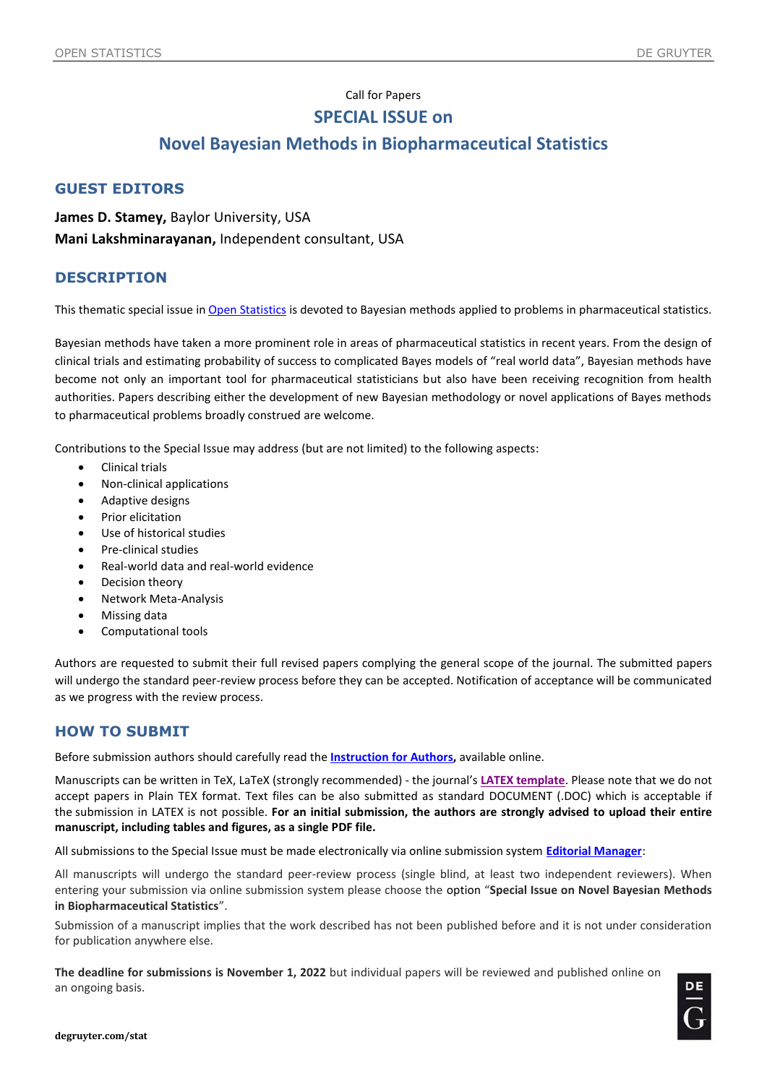## Call for Papers **SPECIAL ISSUE on**

# **Novel Bayesian Methods in Biopharmaceutical Statistics**

#### **GUEST EDITORS**

**James D. Stamey,** Baylor University, USA **Mani Lakshminarayanan,** Independent consultant, USA

#### **DESCRIPTION**

This thematic special issue in [Open Statistics](https://www.degruyter.com/journal/key/STAT/html) is devoted to Bayesian methods applied to problems in pharmaceutical statistics.

Bayesian methods have taken a more prominent role in areas of pharmaceutical statistics in recent years. From the design of clinical trials and estimating probability of success to complicated Bayes models of "real world data", Bayesian methods have become not only an important tool for pharmaceutical statisticians but also have been receiving recognition from health authorities. Papers describing either the development of new Bayesian methodology or novel applications of Bayes methods to pharmaceutical problems broadly construed are welcome.

Contributions to the Special Issue may address (but are not limited) to the following aspects:

- Clinical trials
- Non-clinical applications
- Adaptive designs
- Prior elicitation
- Use of historical studies
- Pre-clinical studies
- Real-world data and real-world evidence
- Decision theory
- Network Meta-Analysis
- Missing data
- Computational tools

Authors are requested to submit their full revised papers complying the general scope of the journal. The submitted papers will undergo the standard peer-review process before they can be accepted. Notification of acceptance will be communicated as we progress with the review process.

### **HOW TO SUBMIT**

Before submission authors should carefully read the **[Instruction](https://www.degruyter.com/publication/journal_key/STAT/downloadAsset/STAT_Instructions%20for%20Authors.pdf) for Authors,** available online.

Manuscripts can be written in TeX, LaTeX (strongly recommended) - the journal's **[LATEX template](https://www.degruyter.com/publication/journal_key/STAT/downloadAsset/STAT_LaTeX%20Template.zip)**. Please note that we do not accept papers in Plain TEX format. Text files can be also submitted as standard DOCUMENT (.DOC) which is acceptable if the submission in LATEX is not possible. **For an initial submission, the authors are strongly advised to upload their entire manuscript, including tables and figures, as a single PDF file.**

All submissions to the Special Issue must be made electronically via online submission system **[Editorial Manager](https://www.editorialmanager.com/stat/default1.aspx)**:

All manuscripts will undergo the standard peer-review process (single blind, at least two independent reviewers). When entering your submission via online submission system please choose the option "**Special Issue on Novel Bayesian Methods in Biopharmaceutical Statistics**".

Submission of a manuscript implies that the work described has not been published before and it is not under consideration for publication anywhere else.

**The deadline for submissions is November 1, 2022** but individual papers will be reviewed and published online on an ongoing basis.